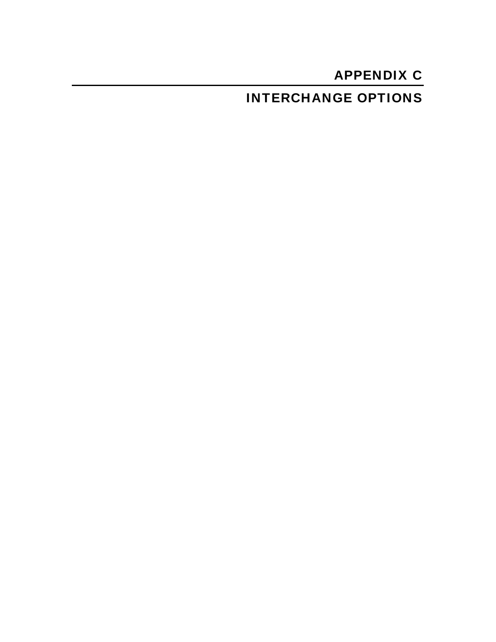# APPENDIX C

## INTERCHANGE OPTIONS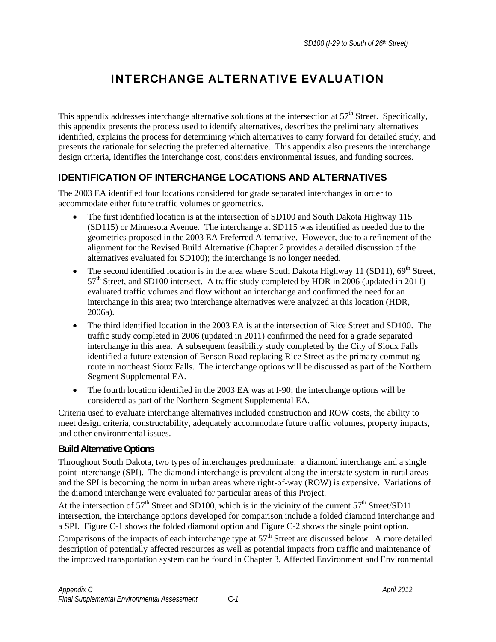## INTERCHANGE ALTERNATIVE EVALUATION

This appendix addresses interchange alternative solutions at the intersection at  $57<sup>th</sup>$  Street. Specifically, this appendix presents the process used to identify alternatives, describes the preliminary alternatives identified, explains the process for determining which alternatives to carry forward for detailed study, and presents the rationale for selecting the preferred alternative. This appendix also presents the interchange design criteria, identifies the interchange cost, considers environmental issues, and funding sources.

### **IDENTIFICATION OF INTERCHANGE LOCATIONS AND ALTERNATIVES**

The 2003 EA identified four locations considered for grade separated interchanges in order to accommodate either future traffic volumes or geometrics.

- The first identified location is at the intersection of SD100 and South Dakota Highway 115 (SD115) or Minnesota Avenue. The interchange at SD115 was identified as needed due to the geometrics proposed in the 2003 EA Preferred Alternative. However, due to a refinement of the alignment for the Revised Build Alternative (Chapter 2 provides a detailed discussion of the alternatives evaluated for SD100); the interchange is no longer needed.
- The second identified location is in the area where South Dakota Highway 11 (SD11),  $69<sup>th</sup>$  Street,  $57<sup>th</sup>$  Street, and SD100 intersect. A traffic study completed by HDR in 2006 (updated in 2011) evaluated traffic volumes and flow without an interchange and confirmed the need for an interchange in this area; two interchange alternatives were analyzed at this location (HDR, 2006a).
- The third identified location in the 2003 EA is at the intersection of Rice Street and SD100. The traffic study completed in 2006 (updated in 2011) confirmed the need for a grade separated interchange in this area. A subsequent feasibility study completed by the City of Sioux Falls identified a future extension of Benson Road replacing Rice Street as the primary commuting route in northeast Sioux Falls. The interchange options will be discussed as part of the Northern Segment Supplemental EA.
- The fourth location identified in the 2003 EA was at I-90; the interchange options will be considered as part of the Northern Segment Supplemental EA.

Criteria used to evaluate interchange alternatives included construction and ROW costs, the ability to meet design criteria, constructability, adequately accommodate future traffic volumes, property impacts, and other environmental issues.

#### **Build Alternative Options**

Throughout South Dakota, two types of interchanges predominate: a diamond interchange and a single point interchange (SPI). The diamond interchange is prevalent along the interstate system in rural areas and the SPI is becoming the norm in urban areas where right-of-way (ROW) is expensive. Variations of the diamond interchange were evaluated for particular areas of this Project.

At the intersection of  $57<sup>th</sup>$  Street and SD100, which is in the vicinity of the current  $57<sup>th</sup>$  Street/SD11 intersection, the interchange options developed for comparison include a folded diamond interchange and a SPI. Figure C-1 shows the folded diamond option and Figure C-2 shows the single point option.

Comparisons of the impacts of each interchange type at  $57<sup>th</sup>$  Street are discussed below. A more detailed description of potentially affected resources as well as potential impacts from traffic and maintenance of the improved transportation system can be found in Chapter 3, Affected Environment and Environmental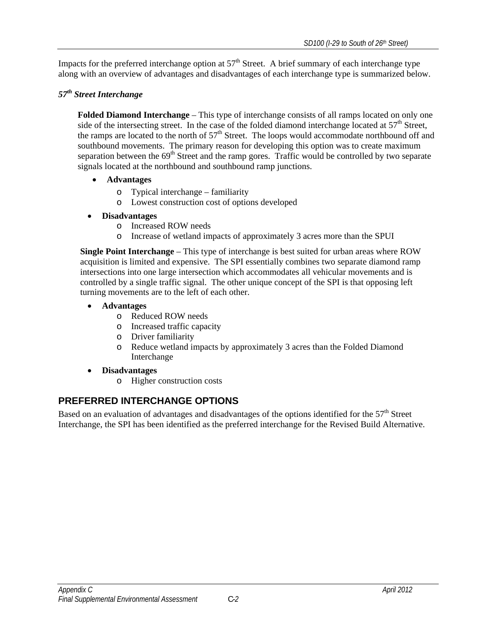Impacts for the preferred interchange option at 57<sup>th</sup> Street. A brief summary of each interchange type along with an overview of advantages and disadvantages of each interchange type is summarized below.

#### *57th Street Interchange*

**Folded Diamond Interchange** – This type of interchange consists of all ramps located on only one side of the intersecting street. In the case of the folded diamond interchange located at  $57<sup>th</sup>$  Street, the ramps are located to the north of  $57<sup>th</sup>$  Street. The loops would accommodate northbound off and southbound movements. The primary reason for developing this option was to create maximum separation between the  $69<sup>th</sup>$  Street and the ramp gores. Traffic would be controlled by two separate signals located at the northbound and southbound ramp junctions.

- **Advantages** 
	- o Typical interchange familiarity
	- o Lowest construction cost of options developed
- **Disadvantages** 
	- o Increased ROW needs
	- o Increase of wetland impacts of approximately 3 acres more than the SPUI

**Single Point Interchange** – This type of interchange is best suited for urban areas where ROW acquisition is limited and expensive. The SPI essentially combines two separate diamond ramp intersections into one large intersection which accommodates all vehicular movements and is controlled by a single traffic signal. The other unique concept of the SPI is that opposing left turning movements are to the left of each other.

- **Advantages** 
	- o Reduced ROW needs
	- o Increased traffic capacity
	- o Driver familiarity
	- o Reduce wetland impacts by approximately 3 acres than the Folded Diamond Interchange
- **Disadvantages** 
	- o Higher construction costs

### **PREFERRED INTERCHANGE OPTIONS**

Based on an evaluation of advantages and disadvantages of the options identified for the 57<sup>th</sup> Street Interchange, the SPI has been identified as the preferred interchange for the Revised Build Alternative.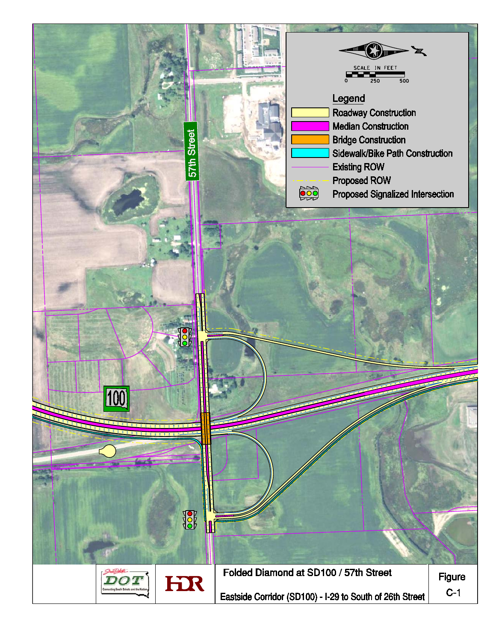